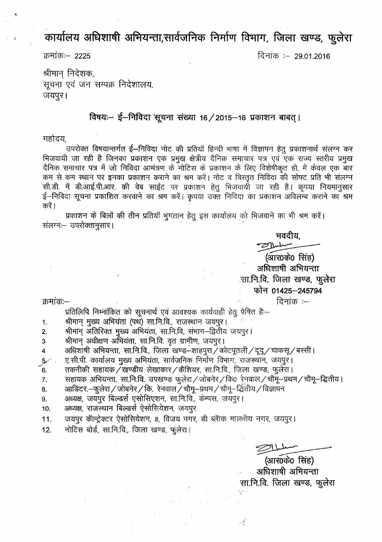कार्यालय अधिशाषी अभियन्ता,सार्वजनिक निर्माण विभाग, जिला खण्ड, फुलेरा

.s:f)fllCf):- 2225 ~'iiCf) :- 29.01.2016

श्रीमान् निदेशक, - सूचना एवं जन सम्पक्र निदेशालय, जयपुर।

### विषयः- ई-निविदा सूचना संख्या 16/2015-16 प्रकाशन बाबत् ।

महोदय.

उपरोक्त विषयान्तर्गत ई–निविदा नोट की प्रतियॉ हिन्दी भाषा में विज्ञापन हेतु प्रकाशनार्थ संलग्न कर भिजवायी जा रही है जिनका प्रकाशन एक प्रमुख क्षेत्रीय दैनिक समाचार पत्र एवं एक राज्य स्तरीय प्रमुख दैनिक समाचार पत्र में जो निविदा आमंत्रण के नोटिस के प्रकाशन के लिए विशेषीकृत हो, में केवल एक बार कम से कम स्थान पर इनका प्रकाशन कराने का श्रम करें। नोट व विरतृत निविदा की सोफ्ट प्रति भी संलग्न सी.डी. में डी.आई.पी.आर. की वेब साईट पर प्रकाशन हेतु भिजवायी जा रही है। कृपया नियमानुसार ई-निविदा सूचना प्रकाशित करवाने का श्रम करें। कृपया उक्त निविदा का प्रकाशन अविलम्ब कराने का श्रम करें।

प्रकाशन के बिलों की तीन प्रतियाँ भुगतान हेतु इस कार्यालय को भिजवाने का भी श्रम करें। संलग्नः– उपरोक्तानुसार।

भवदीय.

(आर0के0 सिंह) अधिशाषी अभियन्ता सा.नि.वि. जिला खण्ड, फुलेरा **tpf;, 01425-245794** दिनांक $:$   $-$ 

क्रमांकः $-$ 

प्रतिलिपि निम्नांकित को सूचनार्थ एवं आवश्यक कार्यवाही हेतु प्रेषित है:--

- श्रीमान् मुख्य अभियंता (पथ) सा.नि.वि., राजस्थान जयपुर। 1.
- श्रीमान् अतिरिक्त मुख्य अभियंता, सा.नि.वि, संभाग--द्वितीय जयपुर। 2.
- श्रीमान् अधीक्षण अभियंता, सा.नि.वि. वृत ग्रामीण, जयपुर। 3
- ~ ~, m.~.fq.,ftR;rr ~. ~1I15g'<I/Cf)'lc<iCic1I/~/''CfIqR~/~ <sup>I</sup> *y* ~:~fr.<fr.CbI£lf61£1~ ~. tilcf\JiPlCb f.ilITur fcrwr, ~. <sup>~</sup> <sup>I</sup> 4
- 
- $\sim$ 6.  $\sim$ ातकनीकी सहायक $\sim$ खण्डीय लेखाकार $\sim$ कैशियर, सा.नि.वि., जिला खण्ड, फुलेरा।
- सहायक अभियन्ता, सा.नि.वि. उपखण्ड फुलेरा / जोबनेर / कि0 रेनवाल / चौमू-प्रथम / चौमू-द्वितीय। 7.
- आडिटर. $-$ फुलेरा / जोबनेर / कि. रेनवाल / चौमू–प्रथम / चौमू–द्विंतीय / विज्ञापन 8.
- अध्यक्ष, जयपुर बिल्डर्स एसोसिएशन, सा.नि.वि., केम्पस, जयपुर। 9.
- 10. अध्यक्ष, राजस्थान बिल्डर्स ऐसोसियेशन, जयपुर
- 11. जयपुर कॅन्ट्रेक्टर ऐसोसियेशन, 8, विजय नगर, डी ब्लॅाक मालवीय नगर, जयपुर।
- 12. नोटिस बोर्ड, सा.नि.वि., जिला खण्ड, फुलेरा।

(आर0के0 सिंह) अधिशाषी अभियन्ता सा.नि.वि. जिला खण्ड, फुलेरा

- ડો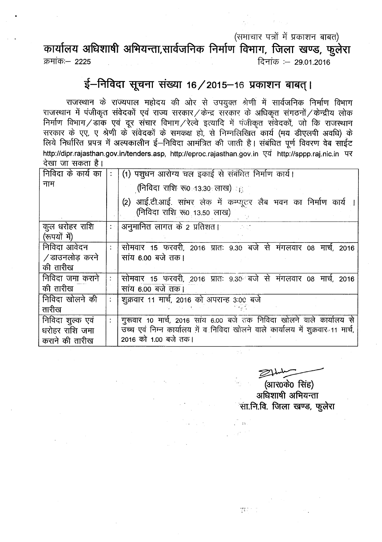### (समाचार पत्रों में प्रकाशन बाबत)

## कार्यालय अधिशाषी अभियन्ता,सार्वजनिक निर्माण विभाग, जिला खण्ड, फुलेरा

m4iiCJ?:~ 2225 R'iiCJ? :- 29.01.2016

### $\frac{1}{2}$  **- निविदा सूचना संख्या 16 / 2015-16 प्रकाशन बाबत् ।**

राजस्थान के राज्यपाल महोदय की ओर से उपयुक्त श्रेणी में सार्वजनिक निर्माण विभाग  $\tau$ राजस्थान में पंजीकृत संवेदकों एवं राज्य सरकार / केन्द्र सरकार के अधिकृत संगठनों / केन्द्रीय लोक निर्माण विभाग/डाक एवं दूर संचार विभाग/रेल्वे इत्यादि में पंजीकृत संवेदकों, जो कि राजस्थान सरकार के एए, ए श्रेणी के संवेदकों के समकक्ष हो, से निम्नलिखित कार्य (मय डीएलपी अवधि) के लिये निर्धारित प्रपत्र में अल्पकालीन ई-निविदा आमंत्रित की जाती है। संबंधित पूर्ण विवरण वेब साईट http://dipr.rajasthan.gov.in/tenders.asp, http://eproc.rajasthan.gov.in एवं http://sppp.raj.nic.in पर  $\vec{a}$ खा जा सकता है।

| निविदा के कार्य का             |                        | (1) पशुधन आरोग्य चल इकाई से संबंधित निर्माण कार्य।                                              |  |  |  |  |
|--------------------------------|------------------------|-------------------------------------------------------------------------------------------------|--|--|--|--|
| नाम                            |                        | (निविदा राशि रू0 13:30 लाख) <sub>हैं</sub>                                                      |  |  |  |  |
|                                |                        | (2) आई.टी.आई. सांभर लेक में कम्प्यूटर लैब भवन का निर्माण कार्य ।<br>(निविदा राशि रू0 13.50 लाख) |  |  |  |  |
| कुल धरोहर राशि<br>(रूपयों में) | $\ddot{\phantom{0}}$ : | अनुमानित लागत के 2 प्रतिशत।                                                                     |  |  |  |  |
| निविदा आवेदन                   |                        | सोमवार 15 फरवरी, 2016 प्रातः 9.30 बजे से मंगलवार 08 मार्च, 2016                                 |  |  |  |  |
| ∕ डाउनलोड़ करने                |                        | सांय 6.00 बजे तक।                                                                               |  |  |  |  |
| की तारीख                       |                        |                                                                                                 |  |  |  |  |
| निविदा जमा कराने               |                        | सोमवार 15 फरवरी, 2016 प्रातः 9.30 बजे से मंगलवार 08 मार्च, 2016                                 |  |  |  |  |
| की तारीख                       |                        | सांय 6.00 बजे तक।                                                                               |  |  |  |  |
| निविदा खोलने की                | ÷                      | शुक्रवार 11 मार्च, 2016 को अपरान्ह 3:00 बजे                                                     |  |  |  |  |
| तारीख                          |                        |                                                                                                 |  |  |  |  |
| निविदा शुल्क एवं               |                        | गुरूवार 10 मार्च, 2016 सांय 6.00 बजे तक निविदा खोलने वाले कार्यालय से                           |  |  |  |  |
| धरोहर राशि जमा                 |                        | उच्च एवं निम्न कार्यालय में व निविदा खोलने वाले कार्यालय में शुक्रवार 11 मार्च,                 |  |  |  |  |
| कराने की तारीख                 |                        | 2016 को 1.00 बजे तक।                                                                            |  |  |  |  |

مسلسلہ<del><br>(आर0के0 सिंह</del>)

अधिशाषी अभियन्ता <sup>्</sup>सा.नि.वि. जिला खण्ड, फूलेरा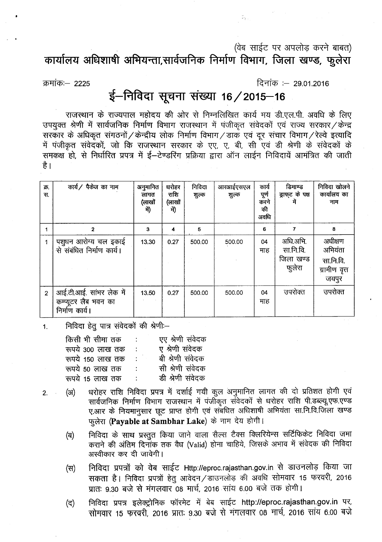(वेब साईट पर अपलोड करने बाबत)

 $\mathbb{Z}_{N\times N}$ 

cpl~fcl~ ~ ~,tlI4\J1Ptcp **PtSOfful ~, fUicll** ~U\S, **tgcl'<l**

क्रमांकः— 2225

दिनांक :— 29.01.2016

# ई-निविदा सूचना संख्या 16 / 2015-16

राजस्थान के राज्यपाल महोदय की ओर से निम्नलिखित कार्य मय डी.एल.पी. अवधि के लिए उपयुक्त श्रेणी में सार्वजनिक निर्माण विभाग राजस्थान में पंजीकृत संवेदकों एवं राज्य सरकार / केन्द्र सरकार के अधिकृत संगठनों / केन्द्रीय लोक निर्माण विभाग / डाक एवं दूर संचार विभाग / रेल्वे इत्यादि में पंजीकृत संवेदकों, जो कि राजस्थान सरकार के एए, ए, बी, सी एवं डी श्रेणी के संवेदकों के समकक्ष हो, से निर्धारित प्रपत्र में ई–टेण्डरिंग प्रक्रिया द्वारा ऑन लाईन निविदायें आमंत्रित की जाती है ।

| क्र.<br>स.     | कार्य/ पैकेज का नाम                                               | अनुमानित<br>लागत<br>(लाखों<br>में) | घरोहर<br>राशि<br>(लाखों<br>में) | निविदा<br>शुल्क | आरआईएसएल<br>शुल्क | कार्य<br>पूर्ण<br>करने<br>की<br>अवधि | डिमाण्ड<br>ड्राफ्ट के पक्ष<br>में            | निविदा खोलने<br>कार्यालय का<br>नाम                        |
|----------------|-------------------------------------------------------------------|------------------------------------|---------------------------------|-----------------|-------------------|--------------------------------------|----------------------------------------------|-----------------------------------------------------------|
|                | $\mathbf{2}$                                                      | 3                                  | 4                               | 5               |                   | 6                                    | 7                                            | 8                                                         |
|                | पशुधन आरोग्य चल इकाई<br>से संबंधित निर्माण कार्य।                 | 13.30                              | 0.27                            | 500.00          | 500.00            | 04<br>माह                            | अधि.अभि.<br>सा.नि.वि.<br>जिला खण्ड<br>फुलेरा | अधीक्षण<br>अभियंता<br>सा.नि.वि.<br>ग्रामीण वृत्त<br>जयपुर |
| $\overline{2}$ | आई.टी.आई. सांभर लेक में<br>कम्प्यूटर लैब भवन का<br>निर्माण कार्य। | 13.50                              | 0.27                            | 500.00          | 500.00            | 04<br>माह                            | उपरोक्त                                      | उपरोक्त                                                   |

 $1.$  निविदा हेतू पात्र संवेदकों की श्रेणीः-

| किसी भी सीमा तक  |               | एए श्रेणी संवेदक |
|------------------|---------------|------------------|
| रूपये 300 लाख तक | 11            | ए श्रेणी संवेदक  |
| रूपये 150 लाख तक |               | बी श्रेणी संवेदक |
| रूपये 50 लाख तक  |               | सी श्रेणी संवेदक |
| रूपये 15 लाख तक  | $\mathcal{L}$ | डी श्रेणी संवेदक |

- 2. (अ) धरोहर राशि निविदा प्रपत्र में दर्शाई गयी कूल अनुमानित लागत की दो प्रतिशत होगी एवं सार्वजनिक निर्माण विभाग राजस्थान में पंजीकृत संवेदकों से धरोहर राशि पी.डब्ल्यू.एफ.एण्ड ए.आर के नियमानुसार छूट प्राप्त होगी एवं संबंधित अधिशाषी अभियंता सा.नि.वि.जिला खण्ड फुलेरा (Payable at Sambhar Lake) के नाम देय होगी।
	- (ब) निविदा के साथ प्रस्तुत किया जाने वाला सैल्स टैक्स क्लिरियेन्स सर्टिफिकेट निविदा जमा कराने की अंतिम दिनांक तक वैध (Valid) होना चाहिये. जिसके अभाव में संवेदक की निविदा अस्वीकार कर दी जावेगी।
	- (स) निविदा प्रपत्रों को वेब साईट Http://eproc.rajasthan.gov.in से डाउनलोड़ किया जा सकता है। निविदा प्रपत्रों हेतु आवेदन / डाउनलोड़ की अवधि सोमवार 15 फरवरी, 2016 प्रातः 9.30 बजे से मंगलवार 08 मार्च, 2016 सांय 6.00 बजे तक होगी।
	- (द) निविदा प्रपत्र इलेक्ट्रोनिक फॉरमेट में बेब साईट http://eproc.rajasthan.gov.in पर, सोमवार 15 फरवरी, 2016 प्रातः 9.30 बजे से मंगलवार 08 मार्च, 2016 सांय 6.00 बजे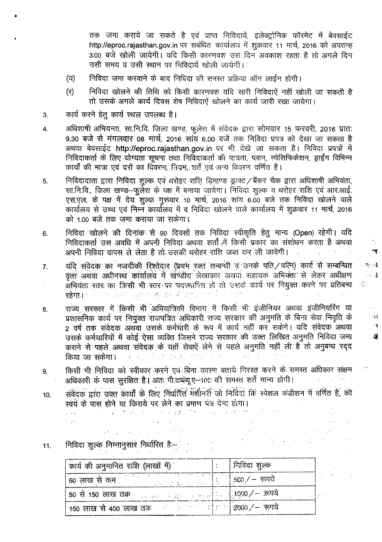तक जमा कराये जा सकते है एवं प्राप्त निविदायें, इलेक्ट्रोनिक फॉरमेट में बेवसाईट http://eproc.rajasthan.gov.in पर सबंधित कार्यालय में शुक्रवार 11 मार्च, 2016 को अपरान्ह 3:00 बजे खोली जायेगी। यदि किसी कारणवश उस दिन अवकाश रहता है तो अगले दिन उसी समय व उसी स्थान पर निविदायें खोली जायेगी।

- (य) निविदा जमा करवाने के बाद निविदा की समस्त प्रक्रिया ऑन लाईन होगी।
- निविदा खोलने की तिथि को किसी कारणवश यदि सारी निविदाएें नहीं खोली जा सकती है  $(5)$ तो उसके अगले कार्य दिवस शेष निविदाएं खोलने का कार्य जारी रखा जायेगा।
- कार्य करने हेतु कार्य स्थल उपलब्ध है। 3.

 $\overline{4}$ .

अधिशाषी अभियन्ता, सा.नि.वि. जिला खण्ड, फूलेरा में संवेदक द्वारा सोमवार 15 फरवरी, 2016 प्रातः 9.30 बजे से मंगलवार 08 मार्च, 2016 सांय 6.00 बजे तक निविदा प्रपत्र को देखा जा सकता है अथवा बेवसाईट http://eproc.rajasthan.gov.in पर भी देखे जा सकता है। निविदा प्रपत्रों में निविदाकर्ता के लिए योग्यता सूचना तथा निविदाकर्ता की पात्रता, प्लान, स्पेसिफिकेशन, ड्राईंग विभिन्न कार्यों की मात्रा एवं दरों का दिवरण: नियम, शर्तें एवं अन्य विवरण वर्णित है।

- निविदादाता द्वारा निविदा शुल्क एवं धरोहर राशि डिमाण्ड ड्राफ्ट /बैंकर चैक द्वारा अधिशाषी अभियंता, 5. सा.नि.वि., जिला खण्ड-फुलेरा के पक्ष में बनाया जायेगा। निविदा शुल्क व धरोहर राशि एवं आर.आई. एस.एल. के पक्ष में देय शुल्क गुरूवार 10 मार्च, 2016 साय 6.00 बजे तक निविदा खोलने वाले कार्यालय से उच्च एवं निम्न कार्यालय में व निविदा खोलने वाले कार्यालय में शुक्रवार 11 मार्च, 2016 को 1.00 बजे तक जमा कराया जा सकेगा।
- निविदा*ं* खोलने की दिनांक से 90 दिवसों तक निविदा स्वीकृति हेतू मान्य (Open) रहेगी। यदि 6. निविदाकर्ता उस अवधि में अपनी निविदा अथवा शर्तों में किसी प्रकार का संशोधन करता है अथवा अपनी निविदा वापस ले लेता है तो उसकी धरोहर राशि जब्त कर ली जावेगी।
- यदि संवेदक का नजदीकी रिश्तेदार (प्रथम रक्त सम्बन्धी व उनके पति / पत्नि) कार्य से सम्बन्धित 7. वृत्तं अथवा अधीनस्थं कार्यालयं में खण्डीय लेखाकार अथवा सहायक अभिग्ला से लेकर अधीक्षण अभियंता रतर का किसी भी स्तर पर पदस्थापित हो तो उसके कार्य पर नियुक्त करने पर प्रतिबन्ध in Africa.<br>Tagairtí रहेगा। अन्य क्रमा अवस्थित के देव समाप्त समर्थित समाप्त and the project

œ⊵e\$

 $\mathbb{E}[\mathbb{E}^{\mathbb{E}}_{\mathbb{E}}]$ 

主辦

ा भू

- 3

- राज्य सरकार में किसी भी अभियांत्रिकी विभाग में किसी भी इंजीनियर अथवा इंजीनियरिंग या 8. प्रशासनिक कार्य पर नियुक्त राजपत्रित अधिकारी राज्य सरकार की अनुमति के बिना सेवा निवृति के 2 वर्ष तक संवेदक अथवा उसके कर्मचारी के रूप में कार्य नहीं कर सकेंगे। यदि संवेदक अथवा उसके कर्मचारियों में कोई ऐसा व्यक्ति जिसने राज्य सरकार की उक्त लिखित अनुमति निविदा जमा कराने से पहले अथवा संवेदक के यहाँ सेवाएं लेने से पहले अनुमति नहीं ली है तो अनुबन्ध रद्द किया जा सकेगा। 이 이렇게 줄이에 가로 끓인
- किसी भी निविद्या को स्वीकार करने एवं बिना कारण बताये निरस्त करने के समस्त अधिकार संक्षम 9. अधिकारी के पास सुरक्षित है। अतः पी.डब्ल्यू.ए-100 की समस्त शर्ते मान्य होगी। **Consequent Consequent**
- संवेदक द्वारा उक्त कार्यों के लिए निर्धारित मंशोनरी जो निर्विदा कि स्पेशल कडीशन में वर्णित है, को 10. स्वयं के पास होने या किराये पर लेने का प्रमाण पंत्र देना होगा।

 $\mathcal{F}=\mathcal{F}=\mathcal{F}$ 

 $\sim 10^{-1}$ 

 $\label{eq:2.1} \mathcal{L}^{\mathcal{A}}_{\mathcal{A}}(\mathcal{A})=\mathcal{L}^{\mathcal{A}}_{\mathcal{A}}(\mathcal{A})=\mathcal{L}^{\mathcal{A}}_{\mathcal{A}}(\mathcal{A})=\mathcal{L}^{\mathcal{A}}_{\mathcal{A}}(\mathcal{A})=\mathcal{L}^{\mathcal{A}}_{\mathcal{A}}(\mathcal{A})=\mathcal{L}^{\mathcal{A}}_{\mathcal{A}}(\mathcal{A})=\mathcal{L}^{\mathcal{A}}_{\mathcal{A}}(\mathcal{A})=\mathcal{L}^{\mathcal{A}}_{\mathcal{A}}(\mathcal{A})=\mathcal$ 

 $\epsilon_{\rm{max}}$  ,  $\epsilon_{\rm{max}}$ 

は、御酒の木 (1880) Page (1980) しょうよ and de and the second

 $\mathcal{A}^{\mathcal{A}}(\mathcal{A})=\mathcal{A}^{\mathcal{A}}(\mathcal{A})=\mathcal{A}^{\mathcal{A}}(\mathcal{A})=\mathcal{A}^{\mathcal{A}}(\mathcal{A})=\mathcal{A}^{\mathcal{A}}(\mathcal{A})=\mathcal{A}^{\mathcal{A}}(\mathcal{A})=\mathcal{A}^{\mathcal{A}}(\mathcal{A})=\mathcal{A}^{\mathcal{A}}(\mathcal{A})=\mathcal{A}^{\mathcal{A}}(\mathcal{A})=\mathcal{A}^{\mathcal{A}}(\mathcal{A})=\mathcal{A}^{\mathcal{A}}(\mathcal{A})=\mathcal{A}^{\mathcal{$ 

 $11.$ 

| कार्य की अनुमानित राशि (लाखों में)                                                  |               | निविदा शुल्क                  |  |
|-------------------------------------------------------------------------------------|---------------|-------------------------------|--|
| 50 लाख से कम<br><b>Contract Contract Contract</b>                                   | <b>SARATA</b> | $\frac{1}{2}$ 500 / $-$ रूपये |  |
| .50 से 150 लाख तक <sub>हैं कि</sub> सुरक्षक सुरक्षक संस्कृति हैं हैं 1000 ⁄ – रूपये |               |                               |  |
| 150 लाख से 400 लाख तक के सामाना पीड़ा ने 2000 / – रूपये                             |               |                               |  |